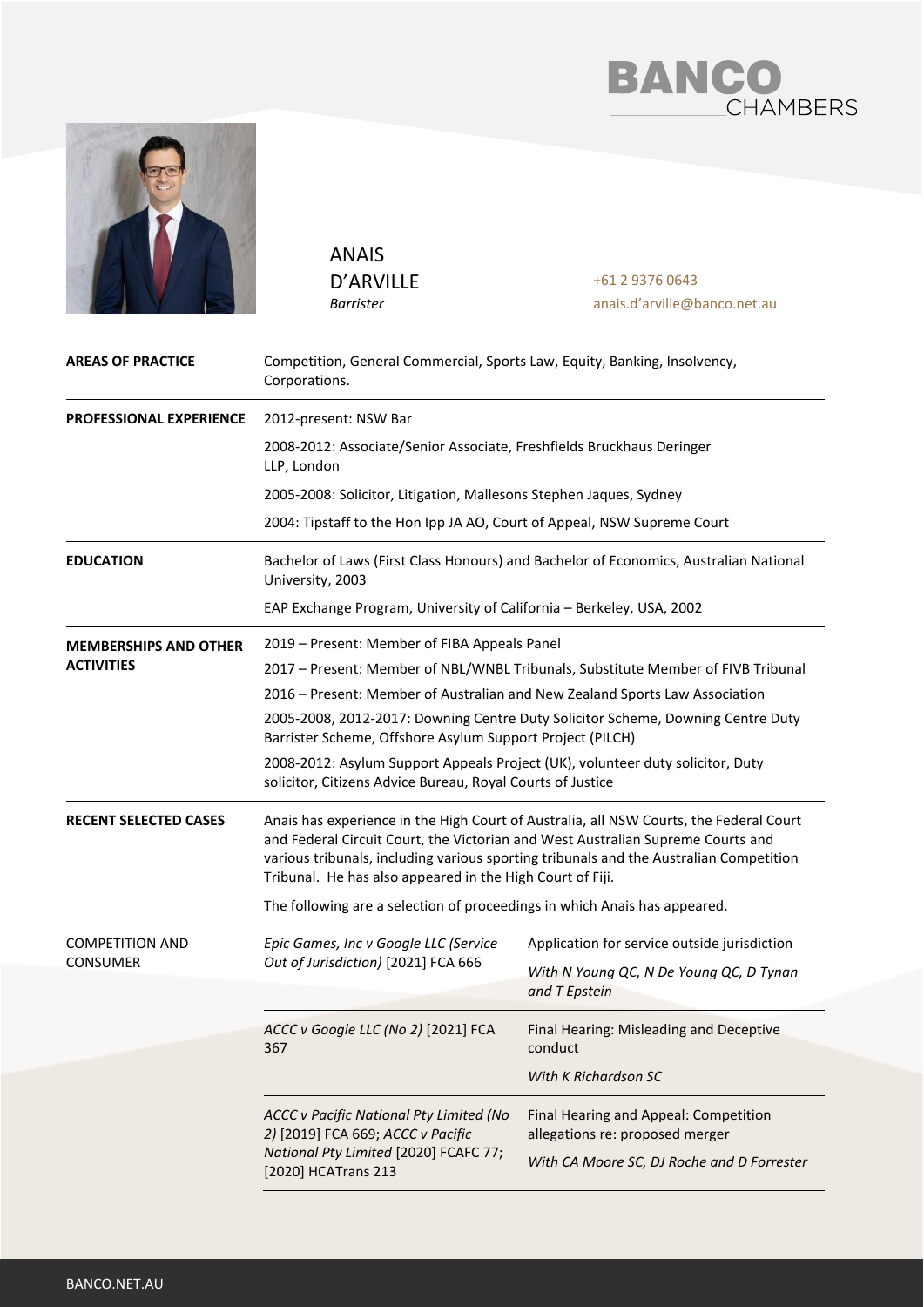



ANAIS D'ARVILLE *Barrister*

+61 2 9376 0643 anais.d'arville@banco.net.au

| <b>AREAS OF PRACTICE</b>     | Competition, General Commercial, Sports Law, Equity, Banking, Insolvency,<br>Corporations.                                                                                                                                                                                                                                       |                                                                                                                        |  |
|------------------------------|----------------------------------------------------------------------------------------------------------------------------------------------------------------------------------------------------------------------------------------------------------------------------------------------------------------------------------|------------------------------------------------------------------------------------------------------------------------|--|
| PROFESSIONAL EXPERIENCE      | 2012-present: NSW Bar                                                                                                                                                                                                                                                                                                            |                                                                                                                        |  |
|                              | 2008-2012: Associate/Senior Associate, Freshfields Bruckhaus Deringer<br>LLP, London                                                                                                                                                                                                                                             |                                                                                                                        |  |
|                              | 2005-2008: Solicitor, Litigation, Mallesons Stephen Jaques, Sydney                                                                                                                                                                                                                                                               |                                                                                                                        |  |
|                              | 2004: Tipstaff to the Hon Ipp JA AO, Court of Appeal, NSW Supreme Court                                                                                                                                                                                                                                                          |                                                                                                                        |  |
| <b>EDUCATION</b>             | Bachelor of Laws (First Class Honours) and Bachelor of Economics, Australian National<br>University, 2003                                                                                                                                                                                                                        |                                                                                                                        |  |
|                              | EAP Exchange Program, University of California - Berkeley, USA, 2002                                                                                                                                                                                                                                                             |                                                                                                                        |  |
| <b>MEMBERSHIPS AND OTHER</b> | 2019 - Present: Member of FIBA Appeals Panel                                                                                                                                                                                                                                                                                     |                                                                                                                        |  |
| <b>ACTIVITIES</b>            | 2017 - Present: Member of NBL/WNBL Tribunals, Substitute Member of FIVB Tribunal                                                                                                                                                                                                                                                 |                                                                                                                        |  |
|                              | 2016 - Present: Member of Australian and New Zealand Sports Law Association                                                                                                                                                                                                                                                      |                                                                                                                        |  |
|                              | 2005-2008, 2012-2017: Downing Centre Duty Solicitor Scheme, Downing Centre Duty<br>Barrister Scheme, Offshore Asylum Support Project (PILCH)                                                                                                                                                                                     |                                                                                                                        |  |
|                              | 2008-2012: Asylum Support Appeals Project (UK), volunteer duty solicitor, Duty<br>solicitor, Citizens Advice Bureau, Royal Courts of Justice                                                                                                                                                                                     |                                                                                                                        |  |
| <b>RECENT SELECTED CASES</b> | Anais has experience in the High Court of Australia, all NSW Courts, the Federal Court<br>and Federal Circuit Court, the Victorian and West Australian Supreme Courts and<br>various tribunals, including various sporting tribunals and the Australian Competition<br>Tribunal. He has also appeared in the High Court of Fiji. |                                                                                                                        |  |
|                              | The following are a selection of proceedings in which Anais has appeared.                                                                                                                                                                                                                                                        |                                                                                                                        |  |
| <b>COMPETITION AND</b>       | Epic Games, Inc v Google LLC (Service                                                                                                                                                                                                                                                                                            | Application for service outside jurisdiction                                                                           |  |
| <b>CONSUMER</b>              | Out of Jurisdiction) [2021] FCA 666                                                                                                                                                                                                                                                                                              | With N Young QC, N De Young QC, D Tynan<br>and T Epstein                                                               |  |
|                              | ACCC v Google LLC (No 2) [2021] FCA<br>367                                                                                                                                                                                                                                                                                       | Final Hearing: Misleading and Deceptive<br>conduct                                                                     |  |
|                              |                                                                                                                                                                                                                                                                                                                                  | With K Richardson SC                                                                                                   |  |
|                              | ACCC v Pacific National Pty Limited (No<br>2) [2019] FCA 669; ACCC v Pacific<br>National Pty Limited [2020] FCAFC 77;<br>[2020] HCATrans 213                                                                                                                                                                                     | Final Hearing and Appeal: Competition<br>allegations re: proposed merger<br>With CA Moore SC, DJ Roche and D Forrester |  |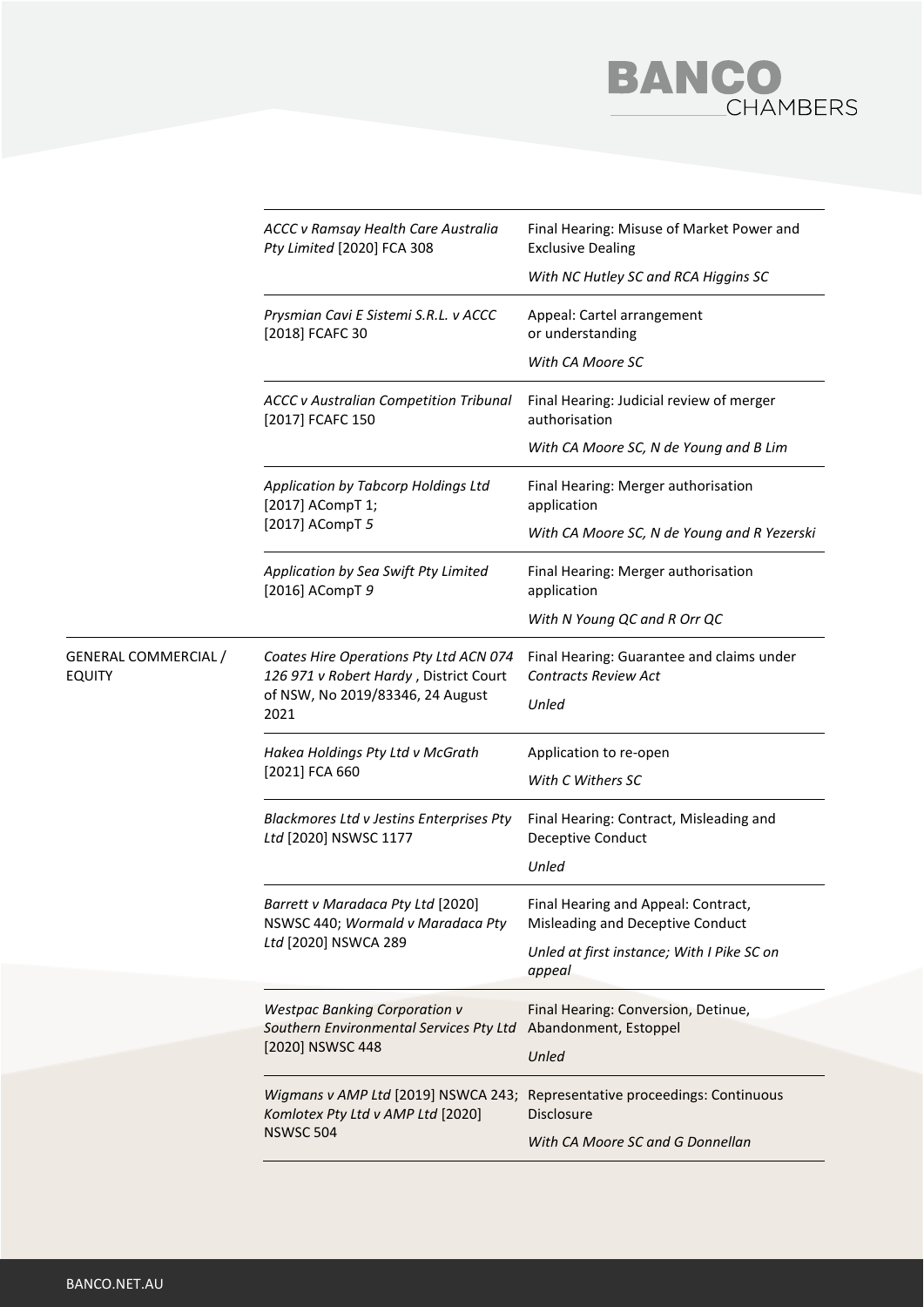

|                                              | ACCC v Ramsay Health Care Australia<br>Pty Limited [2020] FCA 308                                                            | Final Hearing: Misuse of Market Power and<br><b>Exclusive Dealing</b>    |
|----------------------------------------------|------------------------------------------------------------------------------------------------------------------------------|--------------------------------------------------------------------------|
|                                              |                                                                                                                              | With NC Hutley SC and RCA Higgins SC                                     |
|                                              | Prysmian Cavi E Sistemi S.R.L. v ACCC<br>[2018] FCAFC 30                                                                     | Appeal: Cartel arrangement<br>or understanding                           |
|                                              |                                                                                                                              | With CA Moore SC                                                         |
|                                              | <b>ACCC v Australian Competition Tribunal</b><br>[2017] FCAFC 150                                                            | Final Hearing: Judicial review of merger<br>authorisation                |
|                                              |                                                                                                                              | With CA Moore SC, N de Young and B Lim                                   |
|                                              | Application by Tabcorp Holdings Ltd<br>[2017] ACompT 1;<br>[2017] ACompT 5                                                   | Final Hearing: Merger authorisation<br>application                       |
|                                              |                                                                                                                              | With CA Moore SC, N de Young and R Yezerski                              |
|                                              | Application by Sea Swift Pty Limited<br>[2016] ACompT 9                                                                      | Final Hearing: Merger authorisation<br>application                       |
|                                              |                                                                                                                              | With N Young QC and R Orr QC                                             |
| <b>GENERAL COMMERCIAL /</b><br><b>EQUITY</b> | Coates Hire Operations Pty Ltd ACN 074<br>126 971 v Robert Hardy, District Court<br>of NSW, No 2019/83346, 24 August<br>2021 | Final Hearing: Guarantee and claims under<br><b>Contracts Review Act</b> |
|                                              |                                                                                                                              | Unled                                                                    |
|                                              | Hakea Holdings Pty Ltd v McGrath<br>[2021] FCA 660                                                                           | Application to re-open                                                   |
|                                              |                                                                                                                              | With C Withers SC                                                        |
|                                              | Blackmores Ltd v Jestins Enterprises Pty<br>Ltd [2020] NSWSC 1177                                                            | Final Hearing: Contract, Misleading and<br>Deceptive Conduct             |
|                                              |                                                                                                                              | Unled                                                                    |
|                                              | Barrett v Maradaca Pty Ltd (2020)<br>NSWSC 440; Wormald v Maradaca Pty<br>Ltd [2020] NSWCA 289                               | Final Hearing and Appeal: Contract,<br>Misleading and Deceptive Conduct  |
|                                              |                                                                                                                              | Unled at first instance; With I Pike SC on<br>appeal                     |
|                                              | <b>Westpac Banking Corporation v</b><br>Southern Environmental Services Pty Ltd<br>[2020] NSWSC 448                          | Final Hearing: Conversion, Detinue,<br>Abandonment, Estoppel             |
|                                              |                                                                                                                              | Unled                                                                    |
|                                              | Wigmans v AMP Ltd [2019] NSWCA 243;<br>Komlotex Pty Ltd v AMP Ltd [2020]<br><b>NSWSC 504</b>                                 | Representative proceedings: Continuous<br><b>Disclosure</b>              |
|                                              |                                                                                                                              | With CA Moore SC and G Donnellan                                         |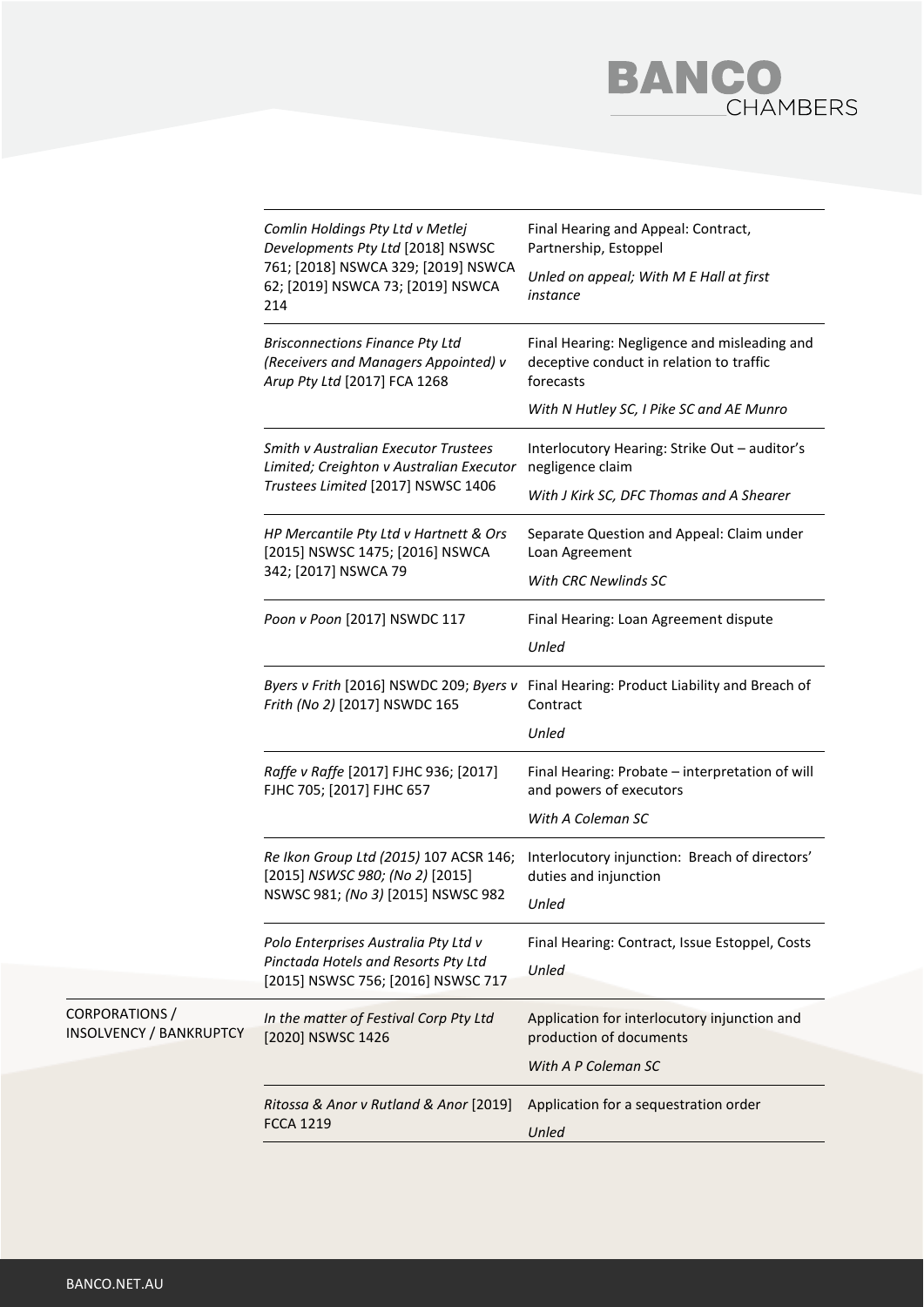

|                                                  | Comlin Holdings Pty Ltd v Metlej<br>Developments Pty Ltd [2018] NSWSC<br>761; [2018] NSWCA 329; [2019] NSWCA<br>62; [2019] NSWCA 73; [2019] NSWCA<br>214 | Final Hearing and Appeal: Contract,<br>Partnership, Estoppel<br>Unled on appeal; With M E Hall at first<br>instance |
|--------------------------------------------------|----------------------------------------------------------------------------------------------------------------------------------------------------------|---------------------------------------------------------------------------------------------------------------------|
|                                                  | <b>Brisconnections Finance Pty Ltd</b><br>(Receivers and Managers Appointed) v<br>Arup Pty Ltd [2017] FCA 1268                                           | Final Hearing: Negligence and misleading and<br>deceptive conduct in relation to traffic<br>forecasts               |
|                                                  |                                                                                                                                                          | With N Hutley SC, I Pike SC and AE Munro                                                                            |
|                                                  | <b>Smith v Australian Executor Trustees</b><br>Limited; Creighton v Australian Executor<br>Trustees Limited [2017] NSWSC 1406                            | Interlocutory Hearing: Strike Out - auditor's<br>negligence claim                                                   |
|                                                  |                                                                                                                                                          | With J Kirk SC, DFC Thomas and A Shearer                                                                            |
|                                                  | HP Mercantile Pty Ltd v Hartnett & Ors<br>[2015] NSWSC 1475; [2016] NSWCA                                                                                | Separate Question and Appeal: Claim under<br>Loan Agreement                                                         |
|                                                  | 342; [2017] NSWCA 79                                                                                                                                     | With CRC Newlinds SC                                                                                                |
|                                                  | Poon v Poon [2017] NSWDC 117                                                                                                                             | Final Hearing: Loan Agreement dispute                                                                               |
|                                                  |                                                                                                                                                          | Unled                                                                                                               |
|                                                  | Byers v Frith [2016] NSWDC 209; Byers v<br>Frith (No 2) [2017] NSWDC 165                                                                                 | Final Hearing: Product Liability and Breach of<br>Contract                                                          |
|                                                  |                                                                                                                                                          | Unled                                                                                                               |
|                                                  | Raffe v Raffe [2017] FJHC 936; [2017]<br>FJHC 705; [2017] FJHC 657                                                                                       | Final Hearing: Probate - interpretation of will<br>and powers of executors                                          |
|                                                  |                                                                                                                                                          | With A Coleman SC                                                                                                   |
|                                                  | Re Ikon Group Ltd (2015) 107 ACSR 146;<br>[2015] NSWSC 980; (No 2) [2015]                                                                                | Interlocutory injunction: Breach of directors'<br>duties and injunction                                             |
|                                                  | NSWSC 981; (No 3) [2015] NSWSC 982                                                                                                                       | Unled                                                                                                               |
|                                                  | Polo Enterprises Australia Pty Ltd v<br>Pinctada Hotels and Resorts Pty Ltd<br>[2015] NSWSC 756; [2016] NSWSC 717                                        | Final Hearing: Contract, Issue Estoppel, Costs                                                                      |
|                                                  |                                                                                                                                                          | Unled                                                                                                               |
| CORPORATIONS /<br><b>INSOLVENCY / BANKRUPTCY</b> | In the matter of Festival Corp Pty Ltd<br>[2020] NSWSC 1426                                                                                              | Application for interlocutory injunction and<br>production of documents                                             |
|                                                  |                                                                                                                                                          | With A P Coleman SC                                                                                                 |
|                                                  | Ritossa & Anor v Rutland & Anor [2019]<br><b>FCCA 1219</b>                                                                                               | Application for a sequestration order<br>Unled                                                                      |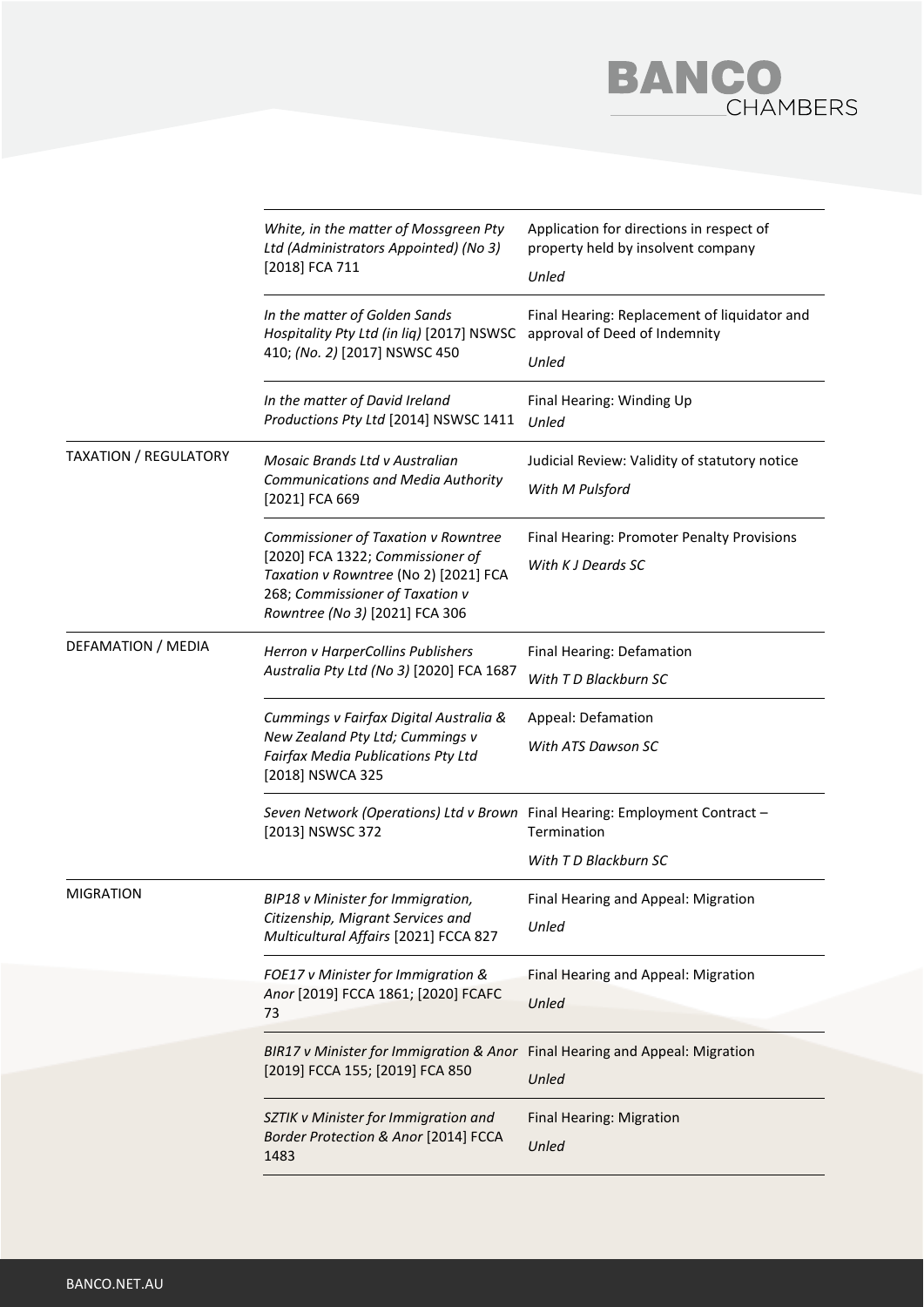

|                              | White, in the matter of Mossgreen Pty<br>Ltd (Administrators Appointed) (No 3)<br>[2018] FCA 711                                                                                      | Application for directions in respect of<br>property held by insolvent company<br>Unled |
|------------------------------|---------------------------------------------------------------------------------------------------------------------------------------------------------------------------------------|-----------------------------------------------------------------------------------------|
|                              | In the matter of Golden Sands<br>Hospitality Pty Ltd (in liq) [2017] NSWSC<br>410; (No. 2) [2017] NSWSC 450                                                                           | Final Hearing: Replacement of liquidator and<br>approval of Deed of Indemnity<br>Unled  |
|                              | In the matter of David Ireland<br>Productions Pty Ltd [2014] NSWSC 1411                                                                                                               | Final Hearing: Winding Up<br>Unled                                                      |
| <b>TAXATION / REGULATORY</b> | Mosaic Brands Ltd v Australian<br><b>Communications and Media Authority</b><br>[2021] FCA 669                                                                                         | Judicial Review: Validity of statutory notice<br>With M Pulsford                        |
|                              | Commissioner of Taxation v Rowntree<br>[2020] FCA 1322; Commissioner of<br>Taxation v Rowntree (No 2) [2021] FCA<br>268; Commissioner of Taxation v<br>Rowntree (No 3) [2021] FCA 306 | Final Hearing: Promoter Penalty Provisions<br>With K J Deards SC                        |
| DEFAMATION / MEDIA           | Herron v HarperCollins Publishers<br>Australia Pty Ltd (No 3) [2020] FCA 1687                                                                                                         | Final Hearing: Defamation<br>With T D Blackburn SC                                      |
|                              | Cummings v Fairfax Digital Australia &<br>New Zealand Pty Ltd; Cummings v<br>Fairfax Media Publications Pty Ltd<br>[2018] NSWCA 325                                                   | Appeal: Defamation<br>With ATS Dawson SC                                                |
|                              | Seven Network (Operations) Ltd v Brown Final Hearing: Employment Contract -<br>[2013] NSWSC 372                                                                                       | Termination<br>With T D Blackburn SC                                                    |
| <b>MIGRATION</b>             | BIP18 v Minister for Immigration,<br>Citizenship, Migrant Services and<br>Multicultural Affairs [2021] FCCA 827                                                                       | Final Hearing and Appeal: Migration<br>Unled                                            |
|                              | FOE17 v Minister for Immigration &<br>Anor [2019] FCCA 1861; [2020] FCAFC<br>73                                                                                                       | Final Hearing and Appeal: Migration<br>Unled                                            |
|                              | BIR17 v Minister for Immigration & Anor Final Hearing and Appeal: Migration<br>[2019] FCCA 155; [2019] FCA 850                                                                        | Unled                                                                                   |
|                              | SZTIK v Minister for Immigration and<br>Border Protection & Anor [2014] FCCA<br>1483                                                                                                  | Final Hearing: Migration<br>Unled                                                       |